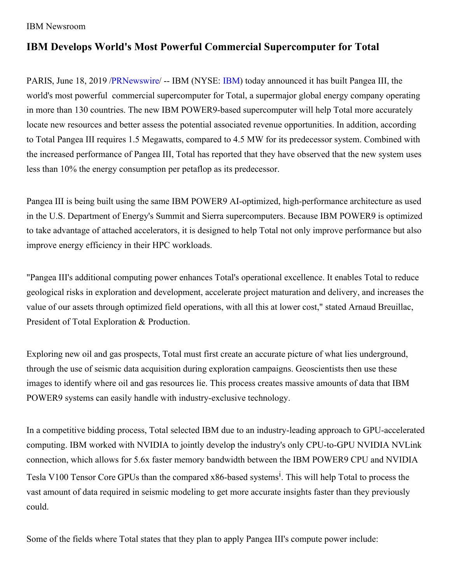## IBM Newsroom

## **IBM Develops World's Most Powerful Commercial Supercomputer for Total**

PARIS, June 18, 2019 [/PRNewswire/](http://www.prnewswire.com/) -- [IBM](https://c212.net/c/link/?t=0&l=en&o=2500627-1&h=1609218995&u=http%3A%2F%2Fwww.ibm.com%2Finvestor&a=IBM) (NYSE: IBM) today announced it has built Pangea III, the world's most powerful commercial supercomputer for Total, a supermajor global energy company operating in more than 130 countries. The new IBM POWER9-based supercomputer will help Total more accurately locate new resources and better assess the potential associated revenue opportunities. In addition, according to Total Pangea III requires 1.5 Megawatts, compared to 4.5 MW for its predecessor system. Combined with the increased performance of Pangea III, Total has reported that they have observed that the new system uses less than 10% the energy consumption per petaflop as its predecessor.

Pangea III is being built using the same IBM POWER9 AI-optimized, high-performance architecture as used in the U.S. Department of Energy's Summit and Sierra supercomputers. Because IBM POWER9 is optimized to take advantage of attached accelerators, it is designed to help Total not only improve performance but also improve energy efficiency in their HPC workloads.

"Pangea III's additional computing power enhances Total's operational excellence. It enables Total to reduce geological risks in exploration and development, accelerate project maturation and delivery, and increases the value of our assets through optimized field operations, with all this at lower cost," stated Arnaud Breuillac, President of Total Exploration & Production.

Exploring new oil and gas prospects, Total must first create an accurate picture of what lies underground, through the use of seismic data acquisition during exploration campaigns. Geoscientists then use these images to identify where oil and gas resources lie. This process creates massive amounts of data that IBM POWER9 systems can easily handle with industry-exclusive technology.

In a competitive bidding process, Total selected IBM due to an industry-leading approach to GPU-accelerated computing. IBM worked with NVIDIA to jointly develop the industry's only CPU-to-GPU NVIDIA NVLink connection, which allows for 5.6x faster memory bandwidth between the IBM POWER9 CPU and NVIDIA Tesla V100 Tensor Core GPUs than the compared x86-based systems<sup>1</sup>. This will help Total to process the vast amount of data required in seismic modeling to get more accurate insights faster than they previously could.

Some of the fields where Total states that they plan to apply Pangea III's compute power include: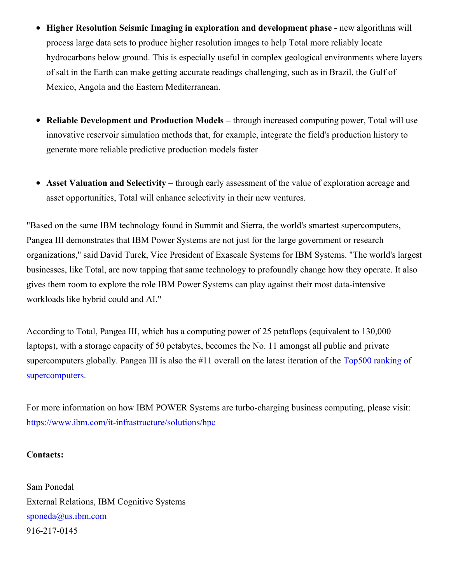- **Higher Resolution Seismic Imaging in exploration and development phase -** new algorithms will process large data sets to produce higher resolution images to help Total more reliably locate hydrocarbons below ground. This is especially useful in complex geological environments where layers of salt in the Earth can make getting accurate readings challenging, such as in Brazil, the Gulf of Mexico, Angola and the Eastern Mediterranean.
- **Reliable Development and Production Models –** through increased computing power, Total will use innovative reservoir simulation methods that, for example, integrate the field's production history to generate more reliable predictive production models faster
- **Asset Valuation and Selectivity –** through early assessment of the value of exploration acreage and asset opportunities, Total will enhance selectivity in their new ventures.

"Based on the same IBM technology found in Summit and Sierra, the world's smartest supercomputers, Pangea III demonstrates that IBM Power Systems are not just for the large government or research organizations," said David Turek, Vice President of Exascale Systems for IBM Systems. "The world's largest businesses, like Total, are now tapping that same technology to profoundly change how they operate. It also gives them room to explore the role IBM Power Systems can play against their most data-intensive workloads like hybrid could and AI."

According to Total, Pangea III, which has a computing power of 25 petaflops (equivalent to 130,000 laptops), with a storage capacity of 50 petabytes, becomes the No. 11 amongst all public and private supercomputers globally. Pangea III is also the #11 overall on the latest iteration of the Top500 ranking of [supercomputers.](https://c212.net/c/link/?t=0&l=en&o=2500627-1&h=3172861875&u=https%3A%2F%2Fwww.top500.org%2Flist%2F2019%2F06%2F&a=Top500+ranking+of+supercomputers.)

For more information on how IBM POWER Systems are turbo-charging business computing, please visit: [https://www.ibm.com/it-infrastructure/solutions/hpc](https://c212.net/c/link/?t=0&l=en&o=2500627-1&h=1358583155&u=https%3A%2F%2Fwww.ibm.com%2Fit-infrastructure%2Fsolutions%2Fhpc&a=https%3A%2F%2Fwww.ibm.com%2Fit-infrastructure%2Fsolutions%2Fhpc)

## **Contacts:**

Sam Ponedal External Relations, IBM Cognitive Systems [sponeda@us.ibm.com](mailto:sponeda@us.ibm.com) 916-217-0145